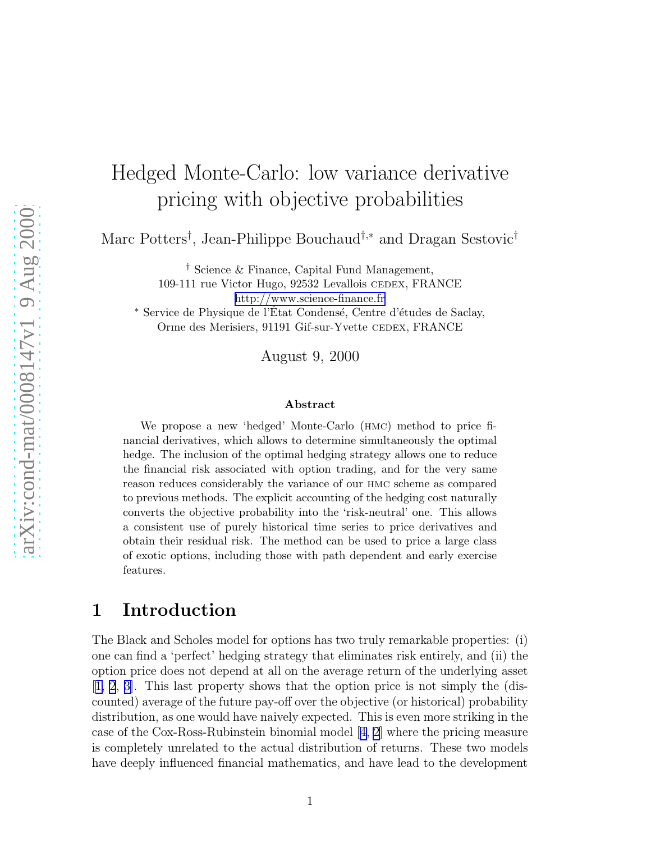# Hedged Monte-Carlo: low variance derivative pricing with objective probabilities

Marc Potters<sup>†</sup>, Jean-Philippe Bouchaud<sup>†,∗</sup> and Dragan Sestovic<sup>†</sup>

† Science & Finance, Capital Fund Management, 109-111 rue Victor Hugo, 92532 Levallois CEDEX, FRANCE <http://www.science-finance.fr>

\* Service de Physique de l'État Condensé, Centre d'études de Saclay, Orme des Merisiers, 91191 Gif-sur-Yvette CEDEX, FRANCE

August 9, 2000

#### Abstract

We propose a new 'hedged' Monte-Carlo (hmc) method to price financial derivatives, which allows to determine simultaneously the optimal hedge. The inclusion of the optimal hedging strategy allows one to reduce the financial risk associated with option trading, and for the very same reason reduces considerably the variance of our hmc scheme as compared to previous methods. The explicit accounting of the hedging cost naturally converts the objective probability into the 'risk-neutral' one. This allows a consistent use of purely historical time series to price derivatives and obtain their residual risk. The method can be used to price a large class of exotic options, including those with path dependent and early exercise features.

### 1 Introduction

The Black and Scholes model for options has two truly remarkable properties: (i) one can find a 'perfect' hedging strategy that eliminates risk entirely, and (ii) the option price does not depend at all on the average return of the underlying asset [[1, 2](#page-8-0), [3\]](#page-8-0). This last property shows that the option price is not simply the (discounted) average of the future pay-off over the objective (or historical) probability distribution, as one would have naively expected. This is even more striking in the case of the Cox-Ross-Rubinstein binomial model[[4, 2](#page-8-0)] where the pricing measure is completely unrelated to the actual distribution of returns. These two models have deeply influenced financial mathematics, and have lead to the development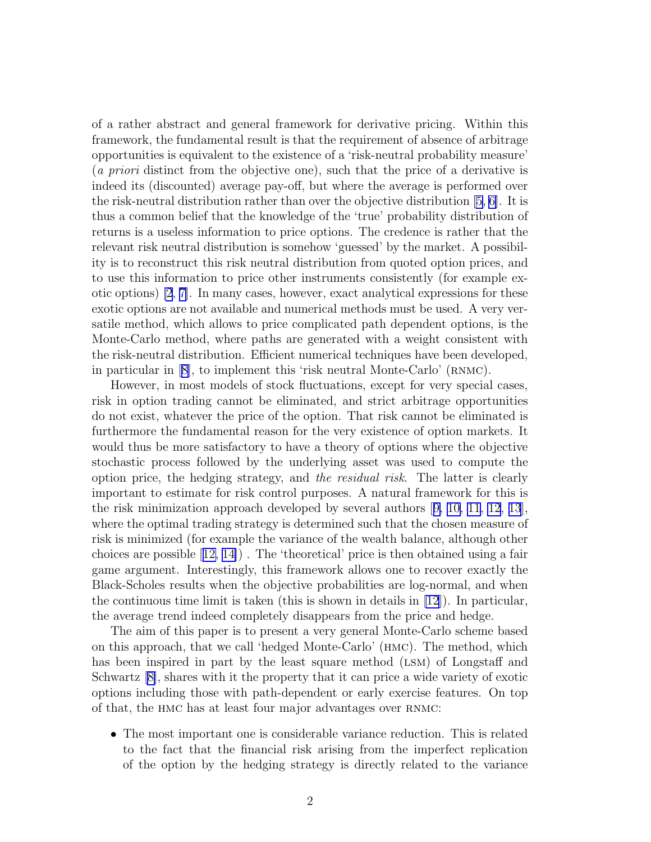of a rather abstract and general framework for derivative pricing. Within this framework, the fundamental result is that the requirement of absence of arbitrage opportunities is equivalent to the existence of a 'risk-neutral probability measure' (a priori distinct from the objective one), such that the price of a derivative is indeed its (discounted) average pay-off, but where the average is performed over the risk-neutral distribution rather than over the objective distribution [\[5, 6\]](#page-8-0). It is thus a common belief that the knowledge of the 'true' probability distribution of returns is a useless information to price options. The credence is rather that the relevant risk neutral distribution is somehow 'guessed' by the market. A possibility is to reconstruct this risk neutral distribution from quoted option prices, and to use this information to price other instruments consistently (for example exotic options) [\[2](#page-8-0), [7\]](#page-9-0). In many cases, however, exact analytical expressions for these exotic options are not available and numerical methods must be used. A very versatile method, which allows to price complicated path dependent options, is the Monte-Carlo method, where paths are generated with a weight consistent with the risk-neutral distribution. Efficient numerical techniques have been developed, inparticular in  $[8]$  $[8]$ , to implement this 'risk neutral Monte-Carlo' (RNMC).

However, in most models of stock fluctuations, except for very special cases, risk in option trading cannot be eliminated, and strict arbitrage opportunities do not exist, whatever the price of the option. That risk cannot be eliminated is furthermore the fundamental reason for the very existence of option markets. It would thus be more satisfactory to have a theory of options where the objective stochastic process followed by the underlying asset was used to compute the option price, the hedging strategy, and the residual risk. The latter is clearly important to estimate for risk control purposes. A natural framework for this is the risk minimization approach developed by several authors[[9, 10, 11, 12](#page-9-0), [13](#page-9-0)], where the optimal trading strategy is determined such that the chosen measure of risk is minimized (for example the variance of the wealth balance, although other choices are possible[[12, 14\]](#page-9-0)) . The 'theoretical' price is then obtained using a fair game argument. Interestingly, this framework allows one to recover exactly the Black-Scholes results when the objective probabilities are log-normal, and when the continuous time limit is taken (this is shown in details in  $(12)$ ). In particular, the average trend indeed completely disappears from the price and hedge.

The aim of this paper is to present a very general Monte-Carlo scheme based on this approach, that we call 'hedged Monte-Carlo' (hmc). The method, which has been inspired in part by the least square method (LSM) of Longstaff and Schwartz[[8\]](#page-9-0), shares with it the property that it can price a wide variety of exotic options including those with path-dependent or early exercise features. On top of that, the hmc has at least four major advantages over rnmc:

• The most important one is considerable variance reduction. This is related to the fact that the financial risk arising from the imperfect replication of the option by the hedging strategy is directly related to the variance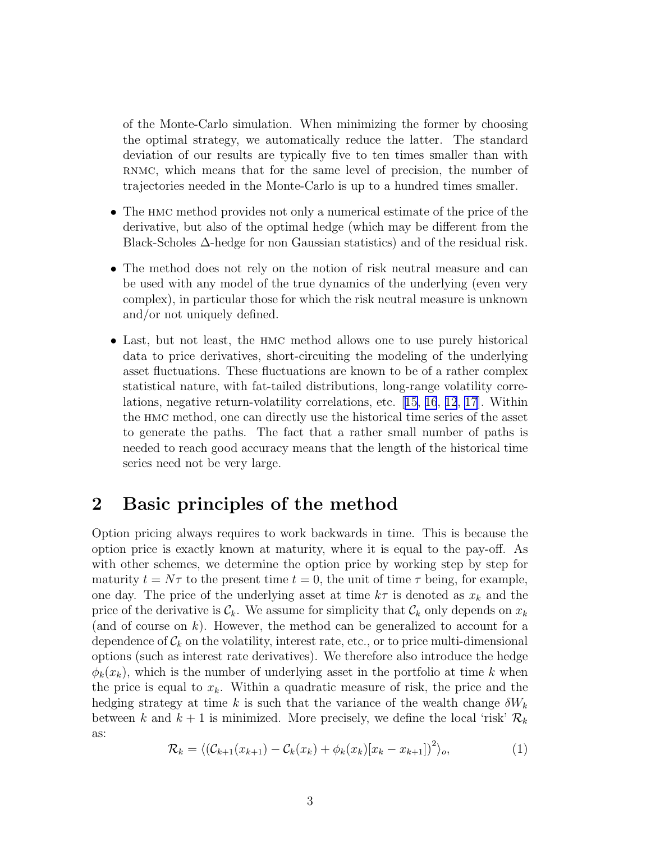<span id="page-2-0"></span>of the Monte-Carlo simulation. When minimizing the former by choosing the optimal strategy, we automatically reduce the latter. The standard deviation of our results are typically five to ten times smaller than with RNMC, which means that for the same level of precision, the number of trajectories needed in the Monte-Carlo is up to a hundred times smaller.

- The HMC method provides not only a numerical estimate of the price of the derivative, but also of the optimal hedge (which may be different from the Black-Scholes  $\Delta$ -hedge for non Gaussian statistics) and of the residual risk.
- The method does not rely on the notion of risk neutral measure and can be used with any model of the true dynamics of the underlying (even very complex), in particular those for which the risk neutral measure is unknown and/or not uniquely defined.
- Last, but not least, the hmc method allows one to use purely historical data to price derivatives, short-circuiting the modeling of the underlying asset fluctuations. These fluctuations are known to be of a rather complex statistical nature, with fat-tailed distributions, long-range volatility correlations, negative return-volatility correlations, etc.[[15, 16](#page-9-0), [12](#page-9-0), [17](#page-9-0)]. Within the hmc method, one can directly use the historical time series of the asset to generate the paths. The fact that a rather small number of paths is needed to reach good accuracy means that the length of the historical time series need not be very large.

# 2 Basic principles of the method

Option pricing always requires to work backwards in time. This is because the option price is exactly known at maturity, where it is equal to the pay-off. As with other schemes, we determine the option price by working step by step for maturity  $t = N\tau$  to the present time  $t = 0$ , the unit of time  $\tau$  being, for example, one day. The price of the underlying asset at time  $k\tau$  is denoted as  $x_k$  and the price of the derivative is  $\mathcal{C}_k$ . We assume for simplicity that  $\mathcal{C}_k$  only depends on  $x_k$ (and of course on  $k$ ). However, the method can be generalized to account for a dependence of  $\mathcal{C}_k$  on the volatility, interest rate, etc., or to price multi-dimensional options (such as interest rate derivatives). We therefore also introduce the hedge  $\phi_k(x_k)$ , which is the number of underlying asset in the portfolio at time k when the price is equal to  $x_k$ . Within a quadratic measure of risk, the price and the hedging strategy at time k is such that the variance of the wealth change  $\delta W_k$ between k and  $k + 1$  is minimized. More precisely, we define the local 'risk'  $\mathcal{R}_k$ as:

$$
\mathcal{R}_k = \langle (\mathcal{C}_{k+1}(x_{k+1}) - \mathcal{C}_k(x_k) + \phi_k(x_k)[x_k - x_{k+1}]\rangle^2 \rangle_o, \tag{1}
$$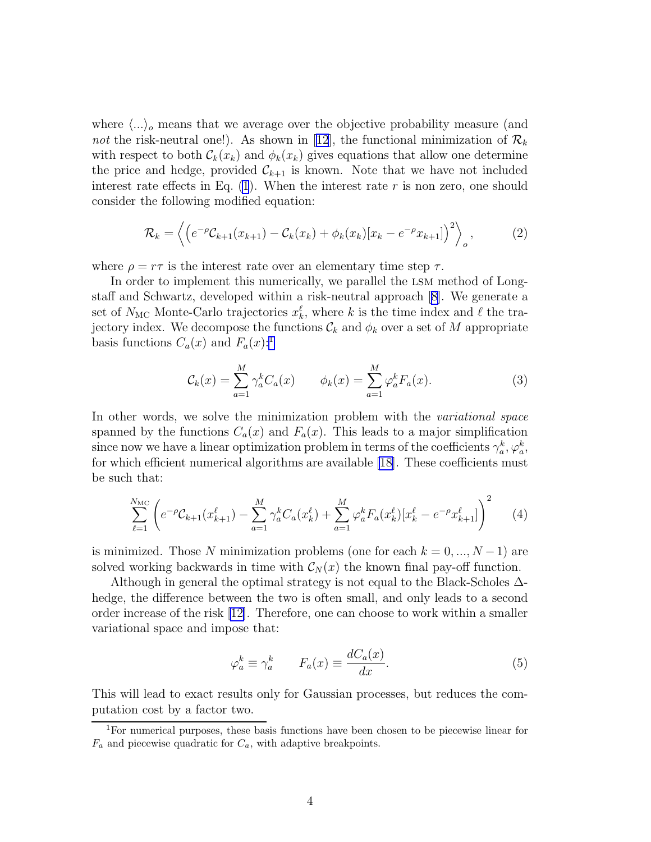<span id="page-3-0"></span>where  $\langle \ldots \rangle$  means that we average over the objective probability measure (and notthe risk-neutral one!). As shown in [[12](#page-9-0)], the functional minimization of  $\mathcal{R}_k$ with respect to both  $\mathcal{C}_k(x_k)$  and  $\phi_k(x_k)$  gives equations that allow one determine the price and hedge, provided  $\mathcal{C}_{k+1}$  is known. Note that we have not included interest rate effects in Eq.  $(1)$  $(1)$ . When the interest rate r is non zero, one should consider the following modified equation:

$$
\mathcal{R}_k = \left\langle \left( e^{-\rho} \mathcal{C}_{k+1}(x_{k+1}) - \mathcal{C}_k(x_k) + \phi_k(x_k)[x_k - e^{-\rho} x_{k+1}] \right)^2 \right\rangle_o, \tag{2}
$$

where  $\rho = r\tau$  is the interest rate over an elementary time step  $\tau$ .

In order to implement this numerically, we parallel the lsm method of Longstaff and Schwartz, developed within a risk-neutral approach[[8\]](#page-9-0). We generate a set of  $N_{MC}$  Monte-Carlo trajectories  $x_k^{\ell}$ , where k is the time index and  $\ell$  the trajectory index. We decompose the functions  $\mathcal{C}_k$  and  $\phi_k$  over a set of M appropriate basis functions  $C_a(x)$  and  $F_a(x)$ :

$$
\mathcal{C}_k(x) = \sum_{a=1}^M \gamma_a^k C_a(x) \qquad \phi_k(x) = \sum_{a=1}^M \varphi_a^k F_a(x). \tag{3}
$$

In other words, we solve the minimization problem with the *variational space* spanned by the functions  $C_a(x)$  and  $F_a(x)$ . This leads to a major simplification since now we have a linear optimization problem in terms of the coefficients  $\gamma_a^k, \varphi_a^k$ , for which efficient numerical algorithms are available [\[18](#page-9-0)]. These coefficients must be such that:

$$
\sum_{\ell=1}^{N_{\rm MC}} \left( e^{-\rho} \mathcal{C}_{k+1}(x_{k+1}^{\ell}) - \sum_{a=1}^{M} \gamma_a^k C_a(x_k^{\ell}) + \sum_{a=1}^{M} \varphi_a^k F_a(x_k^{\ell}) [x_k^{\ell} - e^{-\rho} x_{k+1}^{\ell}] \right)^2 \tag{4}
$$

is minimized. Those N minimization problems (one for each  $k = 0, ..., N - 1$ ) are solved working backwards in time with  $\mathcal{C}_N(x)$  the known final pay-off function.

Although in general the optimal strategy is not equal to the Black-Scholes  $\Delta$ hedge, the difference between the two is often small, and only leads to a second order increase of the risk [\[12\]](#page-9-0). Therefore, one can choose to work within a smaller variational space and impose that:

$$
\varphi_a^k \equiv \gamma_a^k \qquad F_a(x) \equiv \frac{dC_a(x)}{dx}.\tag{5}
$$

This will lead to exact results only for Gaussian processes, but reduces the computation cost by a factor two.

<sup>1</sup>For numerical purposes, these basis functions have been chosen to be piecewise linear for  $F_a$  and piecewise quadratic for  $C_a$ , with adaptive breakpoints.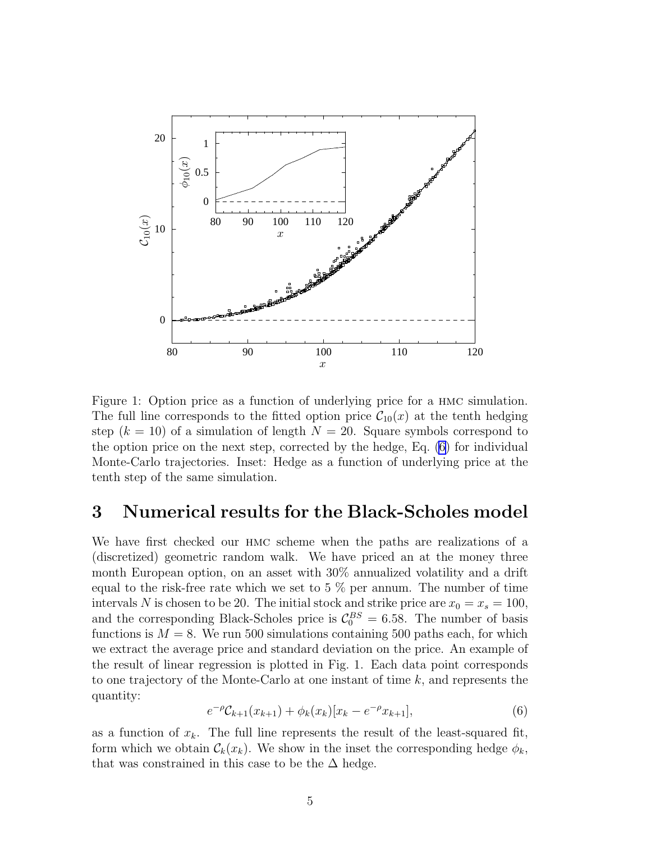

Figure 1: Option price as a function of underlying price for a hmc simulation. The full line corresponds to the fitted option price  $C_{10}(x)$  at the tenth hedging step  $(k = 10)$  of a simulation of length  $N = 20$ . Square symbols correspond to the option price on the next step, corrected by the hedge, Eq. (6) for individual Monte-Carlo trajectories. Inset: Hedge as a function of underlying price at the tenth step of the same simulation.

### 3 Numerical results for the Black-Scholes model

We have first checked our HMC scheme when the paths are realizations of a (discretized) geometric random walk. We have priced an at the money three month European option, on an asset with 30% annualized volatility and a drift equal to the risk-free rate which we set to 5 % per annum. The number of time intervals N is chosen to be 20. The initial stock and strike price are  $x_0 = x_s = 100$ , and the corresponding Black-Scholes price is  $C_0^{BS} = 6.58$ . The number of basis functions is  $M = 8$ . We run 500 simulations containing 500 paths each, for which we extract the average price and standard deviation on the price. An example of the result of linear regression is plotted in Fig. 1. Each data point corresponds to one trajectory of the Monte-Carlo at one instant of time k, and represents the quantity:

$$
e^{-\rho} \mathcal{C}_{k+1}(x_{k+1}) + \phi_k(x_k)[x_k - e^{-\rho} x_{k+1}], \tag{6}
$$

as a function of  $x_k$ . The full line represents the result of the least-squared fit, form which we obtain  $\mathcal{C}_k(x_k)$ . We show in the inset the corresponding hedge  $\phi_k$ , that was constrained in this case to be the  $\Delta$  hedge.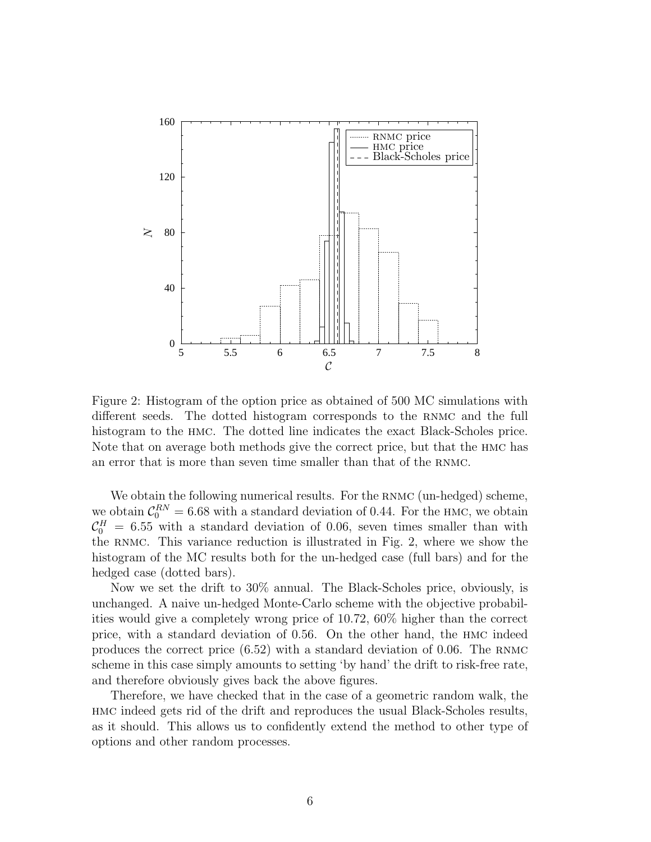

Figure 2: Histogram of the option price as obtained of 500 MC simulations with different seeds. The dotted histogram corresponds to the rnmc and the full histogram to the hmc. The dotted line indicates the exact Black-Scholes price. Note that on average both methods give the correct price, but that the hmc has an error that is more than seven time smaller than that of the rnmc.

We obtain the following numerical results. For the RNMC (un-hedged) scheme, we obtain  $C_0^{RN} = 6.68$  with a standard deviation of 0.44. For the HMC, we obtain  $\mathcal{C}_0^H = 6.55$  with a standard deviation of 0.06, seven times smaller than with the rnmc. This variance reduction is illustrated in Fig. 2, where we show the histogram of the MC results both for the un-hedged case (full bars) and for the hedged case (dotted bars).

Now we set the drift to 30% annual. The Black-Scholes price, obviously, is unchanged. A naive un-hedged Monte-Carlo scheme with the objective probabilities would give a completely wrong price of 10.72, 60% higher than the correct price, with a standard deviation of 0.56. On the other hand, the hmc indeed produces the correct price  $(6.52)$  with a standard deviation of 0.06. The RNMC scheme in this case simply amounts to setting 'by hand' the drift to risk-free rate, and therefore obviously gives back the above figures.

Therefore, we have checked that in the case of a geometric random walk, the hmc indeed gets rid of the drift and reproduces the usual Black-Scholes results, as it should. This allows us to confidently extend the method to other type of options and other random processes.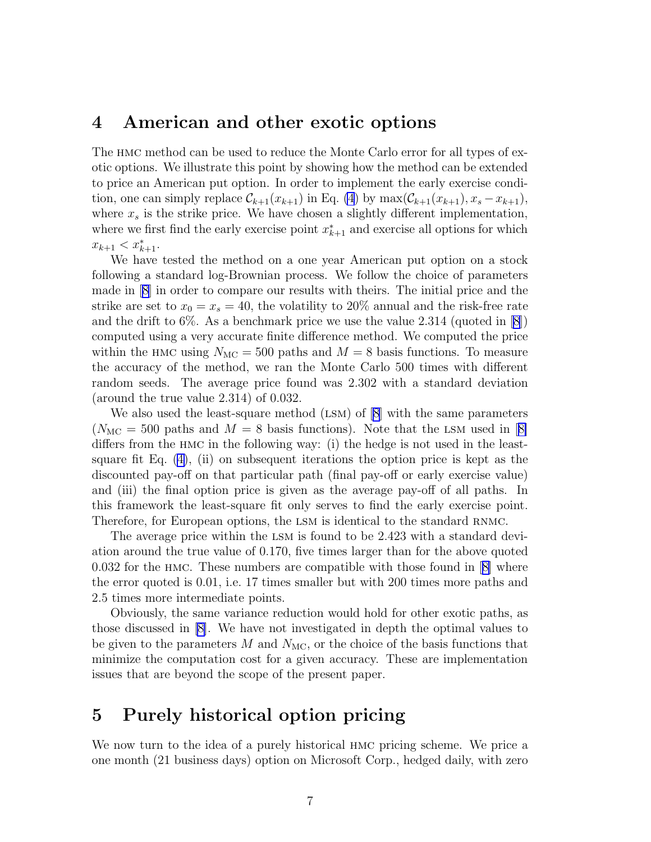#### 4 American and other exotic options

The hmc method can be used to reduce the Monte Carlo error for all types of exotic options. We illustrate this point by showing how the method can be extended to price an American put option. In order to implement the early exercise condition, one can simply replace  $\mathcal{C}_{k+1}(x_{k+1})$  in Eq. [\(4](#page-3-0)) by  $\max(\mathcal{C}_{k+1}(x_{k+1}), x_s - x_{k+1}),$ where  $x_s$  is the strike price. We have chosen a slightly different implementation, where we first find the early exercise point  $x_{k+1}^*$  and exercise all options for which  $x_{k+1} < x_{k+1}^*$ .

We have tested the method on a one year American put option on a stock following a standard log-Brownian process. We follow the choice of parameters made in [\[8\]](#page-9-0) in order to compare our results with theirs. The initial price and the strike are set to  $x_0 = x_s = 40$ , the volatility to 20% annual and the risk-free rate and the drift to  $6\%$ . As a benchmark price we use the value 2.314 (quoted in [\[8](#page-9-0)]) computed using a very accurate finite difference method. We computed the price within the HMC using  $N_{\text{MC}} = 500$  paths and  $M = 8$  basis functions. To measure the accuracy of the method, we ran the Monte Carlo 500 times with different random seeds. The average price found was 2.302 with a standard deviation (around the true value 2.314) of 0.032.

We also used the least-square method  $(LSM)$  of  $[8]$  with the same parameters  $(N_{\text{MC}} = 500 \text{ paths and } M = 8 \text{ basis functions}).$  $(N_{\text{MC}} = 500 \text{ paths and } M = 8 \text{ basis functions}).$  $(N_{\text{MC}} = 500 \text{ paths and } M = 8 \text{ basis functions}).$  Note that the LSM used in [[8\]](#page-9-0) differs from the hmc in the following way: (i) the hedge is not used in the leastsquare fit Eq.  $(4)$  $(4)$ ,  $(ii)$  on subsequent iterations the option price is kept as the discounted pay-off on that particular path (final pay-off or early exercise value) and (iii) the final option price is given as the average pay-off of all paths. In this framework the least-square fit only serves to find the early exercise point. Therefore, for European options, the LSM is identical to the standard RNMC.

The average price within the lsm is found to be 2.423 with a standard deviation around the true value of 0.170, five times larger than for the above quoted 0.032 for the hmc. These numbers are compatible with those found in[[8\]](#page-9-0) where the error quoted is 0.01, i.e. 17 times smaller but with 200 times more paths and 2.5 times more intermediate points.

Obviously, the same variance reduction would hold for other exotic paths, as those discussed in [\[8\]](#page-9-0). We have not investigated in depth the optimal values to be given to the parameters  $M$  and  $N_{MC}$ , or the choice of the basis functions that minimize the computation cost for a given accuracy. These are implementation issues that are beyond the scope of the present paper.

# 5 Purely historical option pricing

We now turn to the idea of a purely historical hmc pricing scheme. We price a one month (21 business days) option on Microsoft Corp., hedged daily, with zero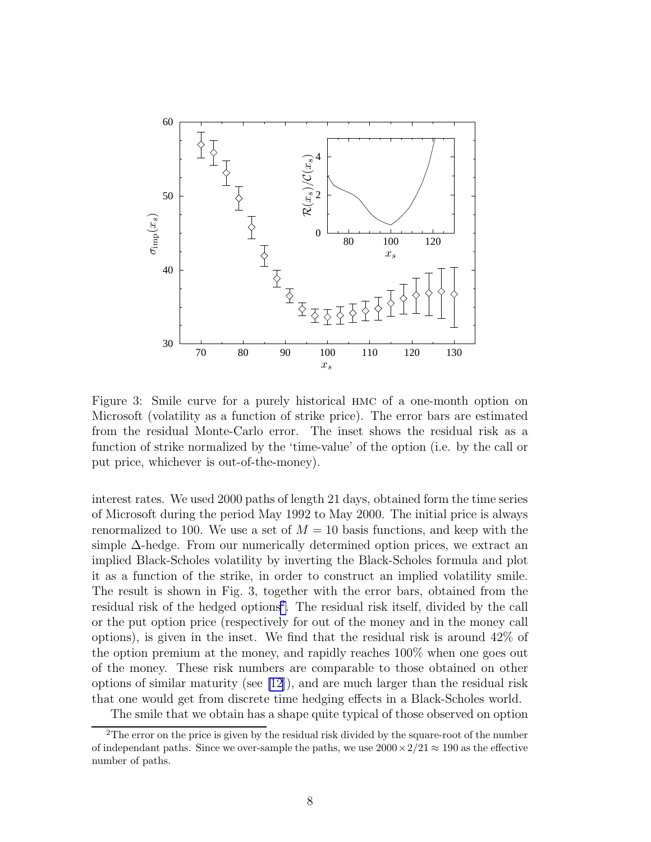

Figure 3: Smile curve for a purely historical hmc of a one-month option on Microsoft (volatility as a function of strike price). The error bars are estimated from the residual Monte-Carlo error. The inset shows the residual risk as a function of strike normalized by the 'time-value' of the option (i.e. by the call or put price, whichever is out-of-the-money).

interest rates. We used 2000 paths of length 21 days, obtained form the time series of Microsoft during the period May 1992 to May 2000. The initial price is always renormalized to 100. We use a set of  $M = 10$  basis functions, and keep with the simple ∆-hedge. From our numerically determined option prices, we extract an implied Black-Scholes volatility by inverting the Black-Scholes formula and plot it as a function of the strike, in order to construct an implied volatility smile. The result is shown in Fig. 3, together with the error bars, obtained from the residual risk of the hedged options<sup>2</sup>. The residual risk itself, divided by the call or the put option price (respectively for out of the money and in the money call options), is given in the inset. We find that the residual risk is around 42% of the option premium at the money, and rapidly reaches 100% when one goes out of the money. These risk numbers are comparable to those obtained on other options of similar maturity (see [\[12](#page-9-0)]), and are much larger than the residual risk that one would get from discrete time hedging effects in a Black-Scholes world.

The smile that we obtain has a shape quite typical of those observed on option

<sup>&</sup>lt;sup>2</sup>The error on the price is given by the residual risk divided by the square-root of the number of independant paths. Since we over-sample the paths, we use  $2000 \times 2/21 \approx 190$  as the effective number of paths.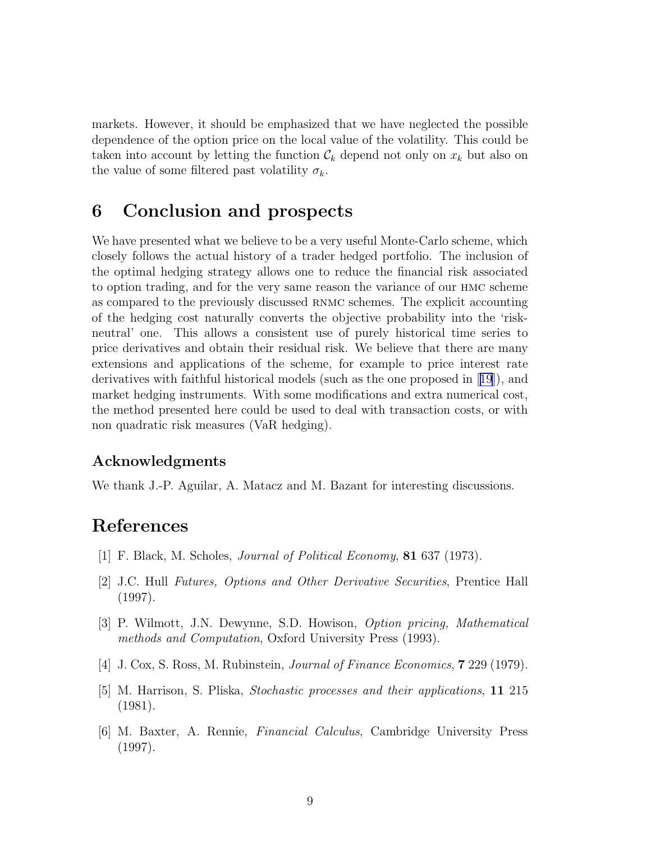<span id="page-8-0"></span>markets. However, it should be emphasized that we have neglected the possible dependence of the option price on the local value of the volatility. This could be taken into account by letting the function  $\mathcal{C}_k$  depend not only on  $x_k$  but also on the value of some filtered past volatility  $\sigma_k$ .

# 6 Conclusion and prospects

We have presented what we believe to be a very useful Monte-Carlo scheme, which closely follows the actual history of a trader hedged portfolio. The inclusion of the optimal hedging strategy allows one to reduce the financial risk associated to option trading, and for the very same reason the variance of our hmc scheme as compared to the previously discussed rnmc schemes. The explicit accounting of the hedging cost naturally converts the objective probability into the 'riskneutral' one. This allows a consistent use of purely historical time series to price derivatives and obtain their residual risk. We believe that there are many extensions and applications of the scheme, for example to price interest rate derivatives with faithful historical models (such as the one proposed in[[19](#page-9-0)]), and market hedging instruments. With some modifications and extra numerical cost, the method presented here could be used to deal with transaction costs, or with non quadratic risk measures (VaR hedging).

#### Acknowledgments

We thank J.-P. Aguilar, A. Matacz and M. Bazant for interesting discussions.

# References

- [1] F. Black, M. Scholes, Journal of Political Economy, 81 637 (1973).
- [2] J.C. Hull Futures, Options and Other Derivative Securities, Prentice Hall (1997).
- [3] P. Wilmott, J.N. Dewynne, S.D. Howison, Option pricing, Mathematical methods and Computation, Oxford University Press (1993).
- [4] J. Cox, S. Ross, M. Rubinstein, Journal of Finance Economics, 7 229 (1979).
- [5] M. Harrison, S. Pliska, Stochastic processes and their applications, 11 215 (1981).
- [6] M. Baxter, A. Rennie, Financial Calculus, Cambridge University Press (1997).